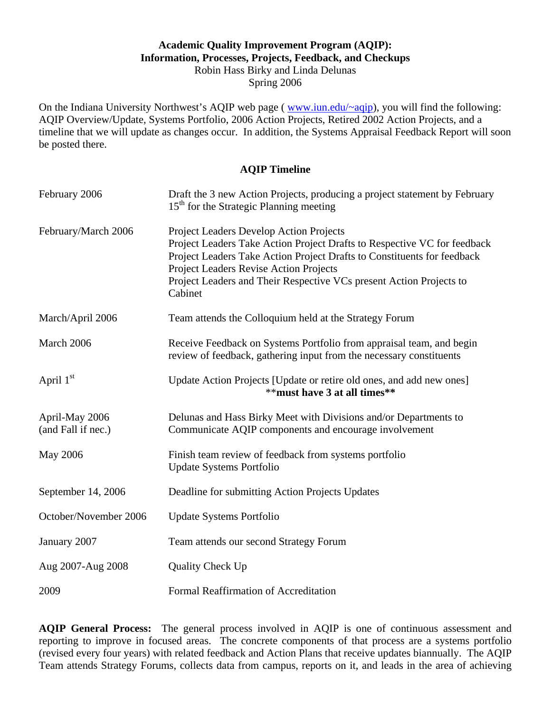## **Academic Quality Improvement Program (AQIP): Information, Processes, Projects, Feedback, and Checkups**  Robin Hass Birky and Linda Delunas

Spring 2006

On the Indiana University Northwest's AQIP web page ( www.iun.edu/~aqip), you will find the following: AQIP Overview/Update, Systems Portfolio, 2006 Action Projects, Retired 2002 Action Projects, and a timeline that we will update as changes occur. In addition, the Systems Appraisal Feedback Report will soon be posted there.

#### **AQIP Timeline**

| February 2006                        | Draft the 3 new Action Projects, producing a project statement by February<br>15 <sup>th</sup> for the Strategic Planning meeting                                                                                                                                                                                          |
|--------------------------------------|----------------------------------------------------------------------------------------------------------------------------------------------------------------------------------------------------------------------------------------------------------------------------------------------------------------------------|
| February/March 2006                  | Project Leaders Develop Action Projects<br>Project Leaders Take Action Project Drafts to Respective VC for feedback<br>Project Leaders Take Action Project Drafts to Constituents for feedback<br>Project Leaders Revise Action Projects<br>Project Leaders and Their Respective VCs present Action Projects to<br>Cabinet |
| March/April 2006                     | Team attends the Colloquium held at the Strategy Forum                                                                                                                                                                                                                                                                     |
| March 2006                           | Receive Feedback on Systems Portfolio from appraisal team, and begin<br>review of feedback, gathering input from the necessary constituents                                                                                                                                                                                |
| April 1st                            | Update Action Projects [Update or retire old ones, and add new ones]<br>** must have 3 at all times**                                                                                                                                                                                                                      |
| April-May 2006<br>(and Fall if nec.) | Delunas and Hass Birky Meet with Divisions and/or Departments to<br>Communicate AQIP components and encourage involvement                                                                                                                                                                                                  |
| <b>May 2006</b>                      | Finish team review of feedback from systems portfolio<br><b>Update Systems Portfolio</b>                                                                                                                                                                                                                                   |
| September 14, 2006                   | Deadline for submitting Action Projects Updates                                                                                                                                                                                                                                                                            |
| October/November 2006                | <b>Update Systems Portfolio</b>                                                                                                                                                                                                                                                                                            |
| January 2007                         | Team attends our second Strategy Forum                                                                                                                                                                                                                                                                                     |
| Aug 2007-Aug 2008                    | Quality Check Up                                                                                                                                                                                                                                                                                                           |
| 2009                                 | Formal Reaffirmation of Accreditation                                                                                                                                                                                                                                                                                      |

AQIP General Process: The general process involved in AQIP is one of continuous assessment and reporting to improve in focused areas. The concrete components of that process are a systems portfolio (revised every four years) with related feedback and Action Plans that receive updates biannually. The AQIP Team attends Strategy Forums, collects data from campus, reports on it, and leads in the area of achieving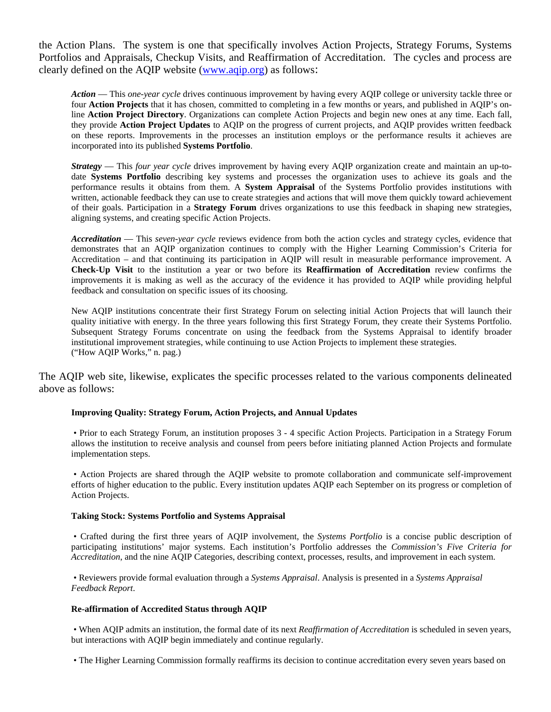Portfolios and Appraisals, Checkup Visits, and Reaffirmation of Accreditation. The cycles and process are the Action Plans. The system is one that specifically involves Action Projects, Strategy Forums, Systems clearly defined on the AQIP website (www.aqip.org) as follows:

 *Action* — This *one-year cycle* drives continuous improvement by having every AQIP college or university tackle three or four **Action Projects** that it has chosen, committed to completing in a few months or years, and published in AQIP's online **Action Project Directory**. Organizations can complete Action Projects and begin new ones at any time. Each fall, they provide **Action Project Updates** to AQIP on the progress of current projects, and AQIP provides written feedback on these reports. Improvements in the processes an institution employs or the performance results it achieves are incorporated into its published **Systems Portfolio**.

 date **Systems Portfolio** describing key systems and processes the organization uses to achieve its goals and the written, actionable feedback they can use to create strategies and actions that will move them quickly toward achievement *Strategy* — This *four year cycle* drives improvement by having every AQIP organization create and maintain an up-toperformance results it obtains from them. A **System Appraisal** of the Systems Portfolio provides institutions with of their goals. Participation in a **Strategy Forum** drives organizations to use this feedback in shaping new strategies, aligning systems, and creating specific Action Projects.

*Accreditation* — This *seven-year cycle* reviews evidence from both the action cycles and strategy cycles, evidence that demonstrates that an AQIP organization continues to comply with the Higher Learning Commission's Criteria for Accreditation – and that continuing its participation in AQIP will result in measurable performance improvement. A **Check-Up Visit** to the institution a year or two before its **Reaffirmation of Accreditation** review confirms the improvements it is making as well as the accuracy of the evidence it has provided to AQIP while providing helpful feedback and consultation on specific issues of its choosing.

 Subsequent Strategy Forums concentrate on using the feedback from the Systems Appraisal to identify broader ("How AQIP Works," n. pag.) New AQIP institutions concentrate their first Strategy Forum on selecting initial Action Projects that will launch their quality initiative with energy. In the three years following this first Strategy Forum, they create their Systems Portfolio. institutional improvement strategies, while continuing to use Action Projects to implement these strategies.

The AQIP web site, likewise, explicates the specific processes related to the various components delineated above as follows:

#### **Improving Quality: Strategy Forum, Action Projects, and Annual Updates**

• Prior to each Strategy Forum, an institution proposes 3 - 4 specific Action Projects. Participation in a Strategy Forum allows the institution to receive analysis and counsel from peers before initiating planned Action Projects and formulate implementation steps.

• Action Projects are shared through the AQIP website to promote collaboration and communicate self-improvement efforts of higher education to the public. Every institution updates AQIP each September on its progress or completion of Action Projects.

#### **Taking Stock: Systems Portfolio and Systems Appraisal**

 • Crafted during the first three years of AQIP involvement, the *Systems Portfolio* is a concise public description of participating institutions' major systems. Each institution's Portfolio addresses the *Commission's Five Criteria for Accreditation*, and the nine AQIP Categories, describing context, processes, results, and improvement in each system.

 • Reviewers provide formal evaluation through a *Systems Appraisal*. Analysis is presented in a *Systems Appraisal Feedback Report*.

#### **Re-affirmation of Accredited Status through AQIP**

 • When AQIP admits an institution, the formal date of its next *Reaffirmation of Accreditation* is scheduled in seven years, but interactions with AQIP begin immediately and continue regularly.

• The Higher Learning Commission formally reaffirms its decision to continue accreditation every seven years based on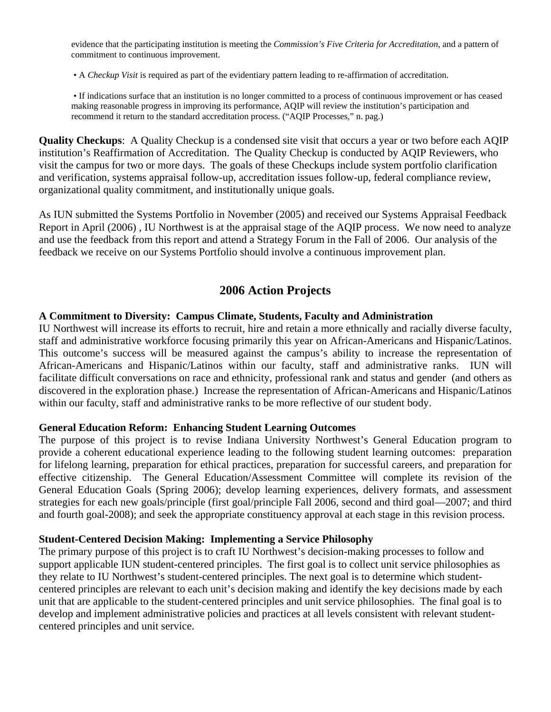evidence that the participating institution is meeting the *Commission's Five Criteria for Accreditation*, and a pattern of commitment to continuous improvement.

• A *Checkup Visit* is required as part of the evidentiary pattern leading to re-affirmation of accreditation.

• If indications surface that an institution is no longer committed to a process of continuous improvement or has ceased making reasonable progress in improving its performance, AQIP will review the institution's participation and recommend it return to the standard accreditation process. ("AQIP Processes," n. pag.)

**Quality Checkups**: A Quality Checkup is a condensed site visit that occurs a year or two before each AQIP institution's Reaffirmation of Accreditation. The Quality Checkup is conducted by AQIP Reviewers, who visit the campus for two or more days. The goals of these Checkups include system portfolio clarification and verification, systems appraisal follow-up, accreditation issues follow-up, federal compliance review, organizational quality commitment, and institutionally unique goals.

As IUN submitted the Systems Portfolio in November (2005) and received our Systems Appraisal Feedback Report in April (2006) , IU Northwest is at the appraisal stage of the AQIP process. We now need to analyze and use the feedback from this report and attend a Strategy Forum in the Fall of 2006. Our analysis of the feedback we receive on our Systems Portfolio should involve a continuous improvement plan.

# **2006 Action Projects**

### **A Commitment to Diversity: Campus Climate, Students, Faculty and Administration**

IU Northwest will increase its efforts to recruit, hire and retain a more ethnically and racially diverse faculty, staff and administrative workforce focusing primarily this year on African-Americans and Hispanic/Latinos. This outcome's success will be measured against the campus's ability to increase the representation of African-Americans and Hispanic/Latinos within our faculty, staff and administrative ranks. IUN will facilitate difficult conversations on race and ethnicity, professional rank and status and gender (and others as discovered in the exploration phase.) Increase the representation of African-Americans and Hispanic/Latinos within our faculty, staff and administrative ranks to be more reflective of our student body.

#### **General Education Reform: Enhancing Student Learning Outcomes**

The purpose of this project is to revise Indiana University Northwest's General Education program to provide a coherent educational experience leading to the following student learning outcomes: preparation for lifelong learning, preparation for ethical practices, preparation for successful careers, and preparation for effective citizenship. The General Education/Assessment Committee will complete its revision of the General Education Goals (Spring 2006); develop learning experiences, delivery formats, and assessment strategies for each new goals/principle (first goal/principle Fall 2006, second and third goal—2007; and third and fourth goal-2008); and seek the appropriate constituency approval at each stage in this revision process.

#### **Student-Centered Decision Making: Implementing a Service Philosophy**

The primary purpose of this project is to craft IU Northwest's decision-making processes to follow and support applicable IUN student-centered principles. The first goal is to collect unit service philosophies as they relate to IU Northwest's student-centered principles. The next goal is to determine which studentcentered principles are relevant to each unit's decision making and identify the key decisions made by each unit that are applicable to the student-centered principles and unit service philosophies. The final goal is to develop and implement administrative policies and practices at all levels consistent with relevant studentcentered principles and unit service.